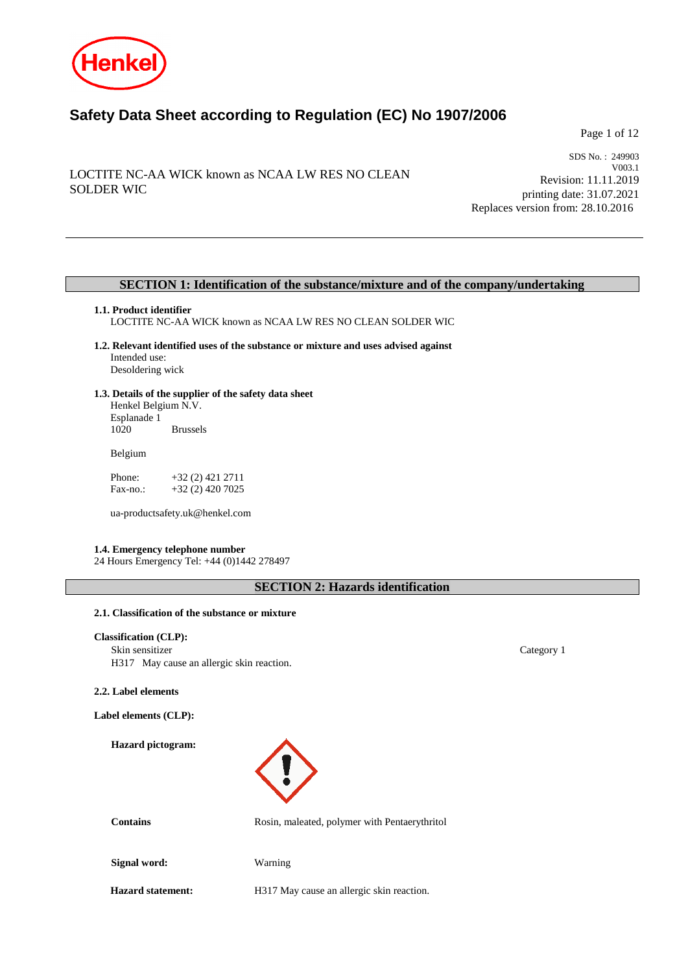

# **Safety Data Sheet according to Regulation (EC) No 1907/2006**

Page 1 of 12

# LOCTITE NC-AA WICK known as NCAA LW RES NO CLEAN SOLDER WIC

SDS No. : 249903 V003.1 Revision: 11.11.2019 printing date: 31.07.2021 Replaces version from: 28.10.2016

### **SECTION 1: Identification of the substance/mixture and of the company/undertaking**

### **1.1. Product identifier**

LOCTITE NC-AA WICK known as NCAA LW RES NO CLEAN SOLDER WIC

- **1.2. Relevant identified uses of the substance or mixture and uses advised against** Intended use: Desoldering wick
- **1.3. Details of the supplier of the safety data sheet** Henkel Belgium N.V.

Esplanade 1 **Brussels** 

Belgium

Phone: +32 (2) 421 2711<br>Fax-no.: +32 (2) 420 7025 +32 (2) 420 7025

ua-productsafety.uk@henkel.com

#### **1.4. Emergency telephone number**

24 Hours Emergency Tel: +44 (0)1442 278497

**SECTION 2: Hazards identification**

### **2.1. Classification of the substance or mixture**

### **Classification (CLP):**

Skin sensitizer Category 1 H317 May cause an allergic skin reaction.

#### **2.2. Label elements**

**Label elements (CLP):**

**Hazard pictogram:**



Contains **Contains** Rosin, maleated, polymer with Pentaerythritol

**Signal word:** Warning

**Hazard statement:** H317 May cause an allergic skin reaction.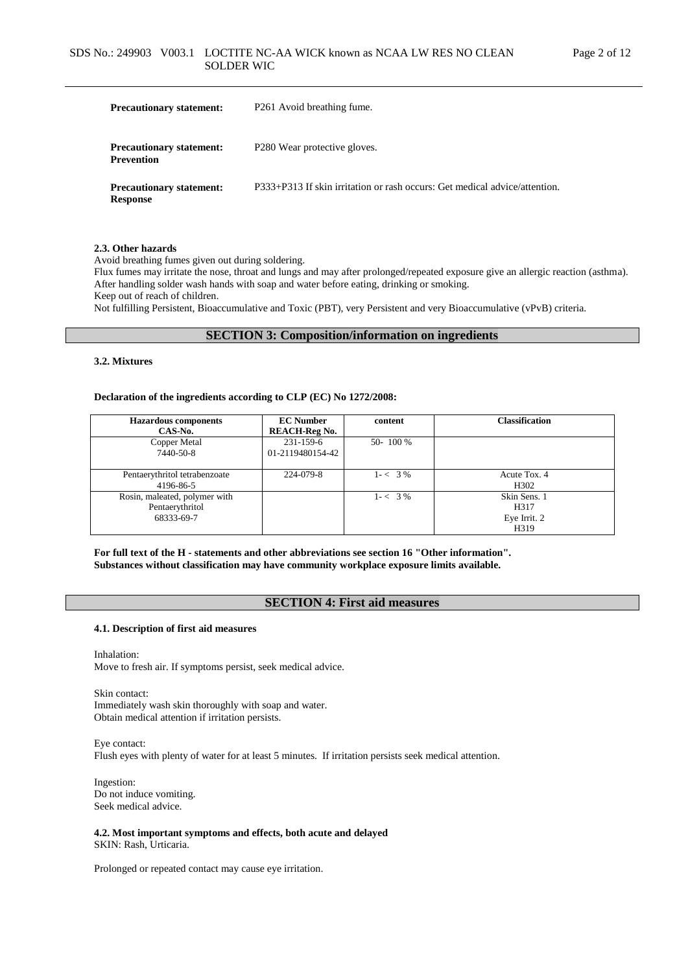| <b>Precautionary statement:</b>                      | P <sub>261</sub> Avoid breathing fume.                                     |  |  |  |
|------------------------------------------------------|----------------------------------------------------------------------------|--|--|--|
| <b>Precautionary statement:</b><br><b>Prevention</b> | P <sub>280</sub> Wear protective gloves.                                   |  |  |  |
| <b>Precautionary statement:</b><br><b>Response</b>   | P333+P313 If skin irritation or rash occurs: Get medical advice/attention. |  |  |  |

#### **2.3. Other hazards**

Avoid breathing fumes given out during soldering.

Flux fumes may irritate the nose, throat and lungs and may after prolonged/repeated exposure give an allergic reaction (asthma). After handling solder wash hands with soap and water before eating, drinking or smoking. Keep out of reach of children.

Not fulfilling Persistent, Bioaccumulative and Toxic (PBT), very Persistent and very Bioaccumulative (vPvB) criteria.

### **SECTION 3: Composition/information on ingredients**

#### **3.2. Mixtures**

#### **Declaration of the ingredients according to CLP (EC) No 1272/2008:**

| <b>Hazardous</b> components<br>CAS-No.                         | <b>EC Number</b><br><b>REACH-Reg No.</b> | content     | <b>Classification</b>                                                  |
|----------------------------------------------------------------|------------------------------------------|-------------|------------------------------------------------------------------------|
| Copper Metal<br>7440-50-8                                      | $231 - 159 - 6$<br>01-2119480154-42      | 50-100 %    |                                                                        |
| Pentaerythritol tetrabenzoate<br>4196-86-5                     | 224-079-8                                | $1 - < 3\%$ | Acute Tox. 4<br>H <sub>3</sub> 02                                      |
| Rosin, maleated, polymer with<br>Pentaerythritol<br>68333-69-7 |                                          | $1 - < 3\%$ | Skin Sens. 1<br>H <sub>3</sub> 17<br>Eye Irrit. 2<br>H <sub>3</sub> 19 |

**For full text of the H - statements and other abbreviations see section 16 "Other information". Substances without classification may have community workplace exposure limits available.**

### **SECTION 4: First aid measures**

#### **4.1. Description of first aid measures**

Inhalation: Move to fresh air. If symptoms persist, seek medical advice.

Skin contact: Immediately wash skin thoroughly with soap and water. Obtain medical attention if irritation persists.

Eye contact: Flush eyes with plenty of water for at least 5 minutes. If irritation persists seek medical attention.

Ingestion: Do not induce vomiting. Seek medical advice.

#### **4.2. Most important symptoms and effects, both acute and delayed** SKIN: Rash, Urticaria.

Prolonged or repeated contact may cause eye irritation.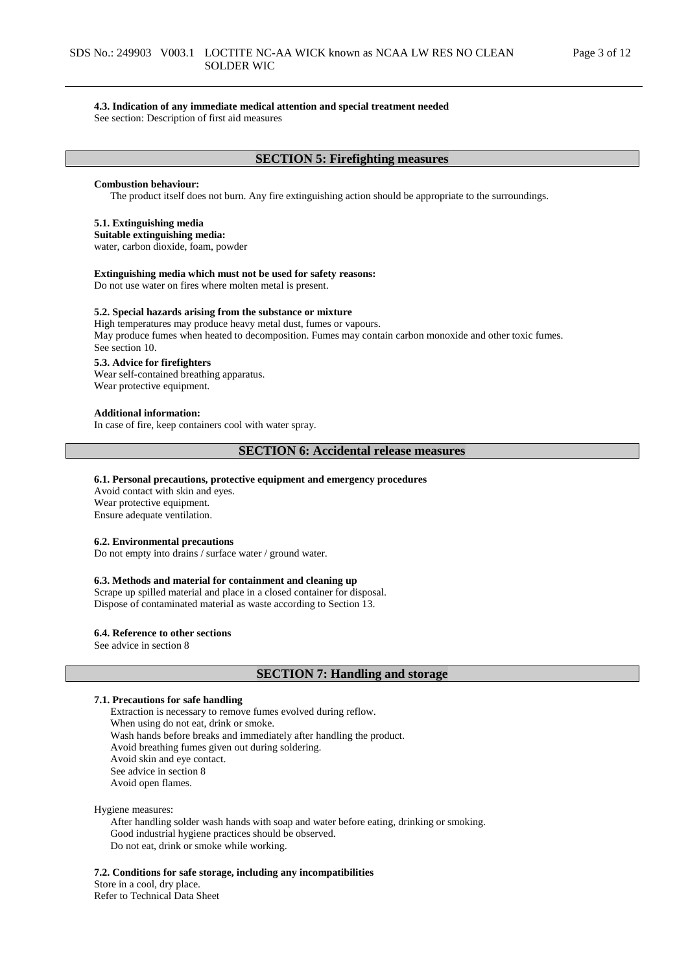### **4.3. Indication of any immediate medical attention and special treatment needed**

See section: Description of first aid measures

### **SECTION 5: Firefighting measures**

#### **Combustion behaviour:**

The product itself does not burn. Any fire extinguishing action should be appropriate to the surroundings.

#### **5.1. Extinguishing media**

#### **Suitable extinguishing media:**

water, carbon dioxide, foam, powder

#### **Extinguishing media which must not be used for safety reasons:**

Do not use water on fires where molten metal is present.

#### **5.2. Special hazards arising from the substance or mixture**

High temperatures may produce heavy metal dust, fumes or vapours. May produce fumes when heated to decomposition. Fumes may contain carbon monoxide and other toxic fumes. See section 10.

#### **5.3. Advice for firefighters**

Wear self-contained breathing apparatus. Wear protective equipment.

#### **Additional information:**

In case of fire, keep containers cool with water spray.

### **SECTION 6: Accidental release measures**

#### **6.1. Personal precautions, protective equipment and emergency procedures**

Avoid contact with skin and eyes. Wear protective equipment. Ensure adequate ventilation.

#### **6.2. Environmental precautions**

Do not empty into drains / surface water / ground water.

#### **6.3. Methods and material for containment and cleaning up**

Scrape up spilled material and place in a closed container for disposal. Dispose of contaminated material as waste according to Section 13.

### **6.4. Reference to other sections**

See advice in section 8

#### **SECTION 7: Handling and storage**

#### **7.1. Precautions for safe handling**

Extraction is necessary to remove fumes evolved during reflow. When using do not eat, drink or smoke. Wash hands before breaks and immediately after handling the product. Avoid breathing fumes given out during soldering. Avoid skin and eye contact. See advice in section 8 Avoid open flames.

Hygiene measures:

After handling solder wash hands with soap and water before eating, drinking or smoking. Good industrial hygiene practices should be observed. Do not eat, drink or smoke while working.

**7.2. Conditions for safe storage, including any incompatibilities**

Store in a cool, dry place. Refer to Technical Data Sheet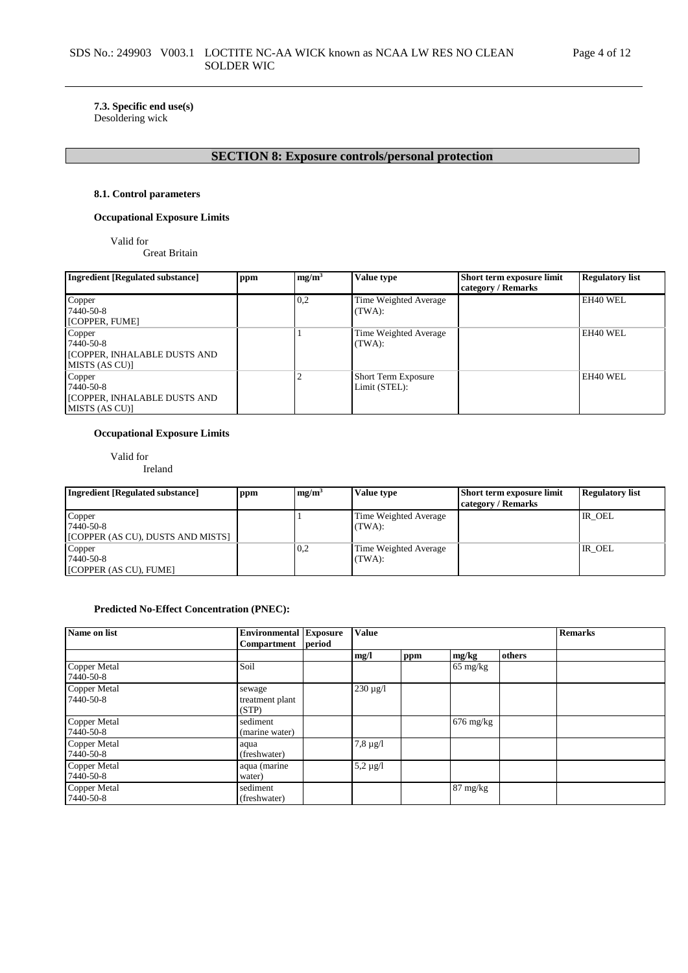### **7.3. Specific end use(s)** Desoldering wick

# **SECTION 8: Exposure controls/personal protection**

### **8.1. Control parameters**

### **Occupational Exposure Limits**

Valid for

Great Britain

| <b>Ingredient [Regulated substance]</b>                               | ppm | mg/m <sup>3</sup> | <b>Value type</b>                    | Short term exposure limit<br>category / Remarks | <b>Regulatory list</b> |
|-----------------------------------------------------------------------|-----|-------------------|--------------------------------------|-------------------------------------------------|------------------------|
| Copper<br>7440-50-8<br>[COPPER, FUME]                                 |     | 0,2               | Time Weighted Average<br>(TWA):      |                                                 | EH40 WEL               |
| Copper<br>7440-50-8<br>[COPPER, INHALABLE DUSTS AND<br>MISTS (AS CU)] |     |                   | Time Weighted Average<br>(TWA):      |                                                 | EH40 WEL               |
| Copper<br>7440-50-8<br>[COPPER, INHALABLE DUSTS AND<br>MISTS (AS CU)] |     |                   | Short Term Exposure<br>Limit (STEL): |                                                 | EH40 WEL               |

### **Occupational Exposure Limits**

Valid for Ireland

| Ingredient [Regulated substance]                         | ppm | mg/m <sup>3</sup> | Value type                      | Short term exposure limit<br>category / Remarks | <b>Regulatory list</b> |
|----------------------------------------------------------|-----|-------------------|---------------------------------|-------------------------------------------------|------------------------|
| Copper<br>7440-50-8<br>[COPPER (AS CU), DUSTS AND MISTS] |     |                   | Time Weighted Average<br>(TWA): |                                                 | IR OEL                 |
| Copper<br>7440-50-8<br>[COPPER (AS CU), FUME]            |     | 0,2               | Time Weighted Average<br>(TWA): |                                                 | IR OEL                 |

### **Predicted No-Effect Concentration (PNEC):**

| Name on list              | <b>Environmental Exposure</b>      |        | <b>Value</b>    |     | <b>Remarks</b>      |        |  |
|---------------------------|------------------------------------|--------|-----------------|-----|---------------------|--------|--|
|                           | Compartment                        | period |                 |     |                     |        |  |
|                           |                                    |        | mg/l            | ppm | mg/kg               | others |  |
| Copper Metal<br>7440-50-8 | Soil                               |        |                 |     | $65 \text{ mg/kg}$  |        |  |
| Copper Metal<br>7440-50-8 | sewage<br>treatment plant<br>(STP) |        | $230 \,\mu g/l$ |     |                     |        |  |
| Copper Metal<br>7440-50-8 | sediment<br>(marine water)         |        |                 |     | $676 \text{ mg/kg}$ |        |  |
| Copper Metal<br>7440-50-8 | aqua<br>(freshwater)               |        | $7,8 \mu g/l$   |     |                     |        |  |
| Copper Metal<br>7440-50-8 | aqua (marine<br>water)             |        | 5,2 $\mu$ g/l   |     |                     |        |  |
| Copper Metal<br>7440-50-8 | sediment<br>(freshwater)           |        |                 |     | 87 mg/kg            |        |  |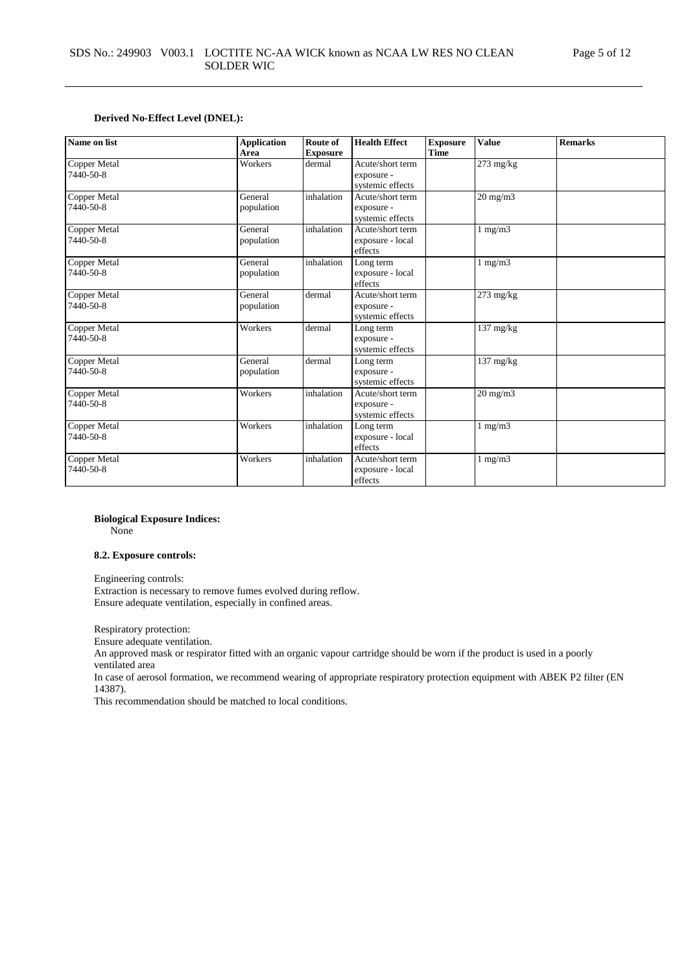#### **Derived No-Effect Level (DNEL):**

| Name on list                     | <b>Application</b><br>Area | Route of<br><b>Exposure</b> | <b>Health Effect</b>                               | <b>Exposure</b><br><b>Time</b> | <b>Value</b>        | <b>Remarks</b> |
|----------------------------------|----------------------------|-----------------------------|----------------------------------------------------|--------------------------------|---------------------|----------------|
| <b>Copper Metal</b><br>7440-50-8 | Workers                    | dermal                      | Acute/short term<br>exposure -<br>systemic effects |                                | 273 mg/kg           |                |
| Copper Metal<br>7440-50-8        | General<br>population      | inhalation                  | Acute/short term<br>exposure -<br>systemic effects |                                | $20 \text{ mg/m}$   |                |
| Copper Metal<br>7440-50-8        | General<br>population      | inhalation                  | Acute/short term<br>exposure - local<br>effects    |                                | $1 \text{ mg/m}$    |                |
| Copper Metal<br>7440-50-8        | General<br>population      | inhalation                  | Long term<br>exposure - local<br>effects           |                                | $1$ mg/m $3$        |                |
| Copper Metal<br>7440-50-8        | General<br>population      | dermal                      | Acute/short term<br>exposure -<br>systemic effects |                                | 273 mg/kg           |                |
| Copper Metal<br>7440-50-8        | Workers                    | dermal                      | Long term<br>exposure -<br>systemic effects        |                                | $137 \text{ mg/kg}$ |                |
| Copper Metal<br>7440-50-8        | General<br>population      | dermal                      | Long term<br>exposure -<br>systemic effects        |                                | $137 \text{ mg/kg}$ |                |
| Copper Metal<br>7440-50-8        | Workers                    | inhalation                  | Acute/short term<br>exposure -<br>systemic effects |                                | $20 \text{ mg/m}$   |                |
| Copper Metal<br>7440-50-8        | Workers                    | inhalation                  | Long term<br>exposure - local<br>effects           |                                | $1 \text{ mg/m}$    |                |
| Copper Metal<br>7440-50-8        | Workers                    | inhalation                  | Acute/short term<br>exposure - local<br>effects    |                                | $1$ mg/m $3$        |                |

#### **Biological Exposure Indices:**

None

### **8.2. Exposure controls:**

Engineering controls:

Extraction is necessary to remove fumes evolved during reflow. Ensure adequate ventilation, especially in confined areas.

Respiratory protection:

Ensure adequate ventilation.

An approved mask or respirator fitted with an organic vapour cartridge should be worn if the product is used in a poorly ventilated area

In case of aerosol formation, we recommend wearing of appropriate respiratory protection equipment with ABEK P2 filter (EN 14387).

This recommendation should be matched to local conditions.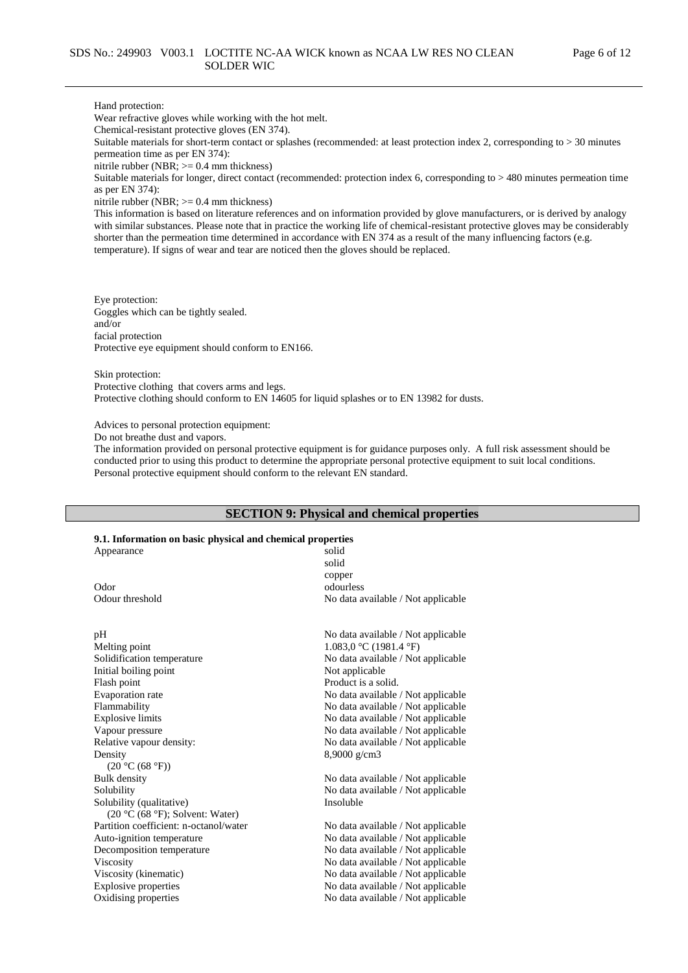#### Hand protection:

Wear refractive gloves while working with the hot melt.

Chemical-resistant protective gloves (EN 374).

Suitable materials for short-term contact or splashes (recommended: at least protection index 2, corresponding to > 30 minutes permeation time as per EN 374):

nitrile rubber (NBR;  $\geq 0.4$  mm thickness)

Suitable materials for longer, direct contact (recommended: protection index 6, corresponding to > 480 minutes permeation time as per EN 374):

nitrile rubber (NBR; >= 0.4 mm thickness)

This information is based on literature references and on information provided by glove manufacturers, or is derived by analogy with similar substances. Please note that in practice the working life of chemical-resistant protective gloves may be considerably shorter than the permeation time determined in accordance with EN 374 as a result of the many influencing factors (e.g. temperature). If signs of wear and tear are noticed then the gloves should be replaced.

Eye protection: Goggles which can be tightly sealed. and/or facial protection Protective eye equipment should conform to EN166.

Skin protection: Protective clothing that covers arms and legs. Protective clothing should conform to EN 14605 for liquid splashes or to EN 13982 for dusts.

Advices to personal protection equipment:

Do not breathe dust and vapors.

The information provided on personal protective equipment is for guidance purposes only. A full risk assessment should be conducted prior to using this product to determine the appropriate personal protective equipment to suit local conditions. Personal protective equipment should conform to the relevant EN standard.

### **SECTION 9: Physical and chemical properties**

#### **9.1. Information on basic physical and chemical properties**

| 9.1. Information on basic physical and chemical properties      |                                    |
|-----------------------------------------------------------------|------------------------------------|
| Appearance                                                      | solid                              |
|                                                                 | solid                              |
|                                                                 | copper                             |
| Odor                                                            | odourless                          |
| Odour threshold                                                 | No data available / Not applicable |
| pH                                                              | No data available / Not applicable |
| Melting point                                                   | 1.083,0 °C (1981.4 °F)             |
| Solidification temperature                                      | No data available / Not applicable |
| Initial boiling point                                           | Not applicable                     |
| Flash point                                                     | Product is a solid.                |
| Evaporation rate                                                | No data available / Not applicable |
| Flammability                                                    | No data available / Not applicable |
| <b>Explosive limits</b>                                         | No data available / Not applicable |
| Vapour pressure                                                 | No data available / Not applicable |
| Relative vapour density:                                        | No data available / Not applicable |
| Density                                                         | $8,9000 \text{ g/cm}$ 3            |
| (20 °C (68 °F))                                                 |                                    |
| Bulk density                                                    | No data available / Not applicable |
| Solubility                                                      | No data available / Not applicable |
| Solubility (qualitative)<br>$(20 °C (68 °F))$ ; Solvent: Water) | Insoluble                          |
| Partition coefficient: n-octanol/water                          | No data available / Not applicable |
|                                                                 |                                    |
| Auto-ignition temperature                                       | No data available / Not applicable |
| Decomposition temperature                                       | No data available / Not applicable |
| Viscosity                                                       | No data available / Not applicable |
| Viscosity (kinematic)                                           | No data available / Not applicable |
| <b>Explosive properties</b>                                     | No data available / Not applicable |
| Oxidising properties                                            | No data available / Not applicable |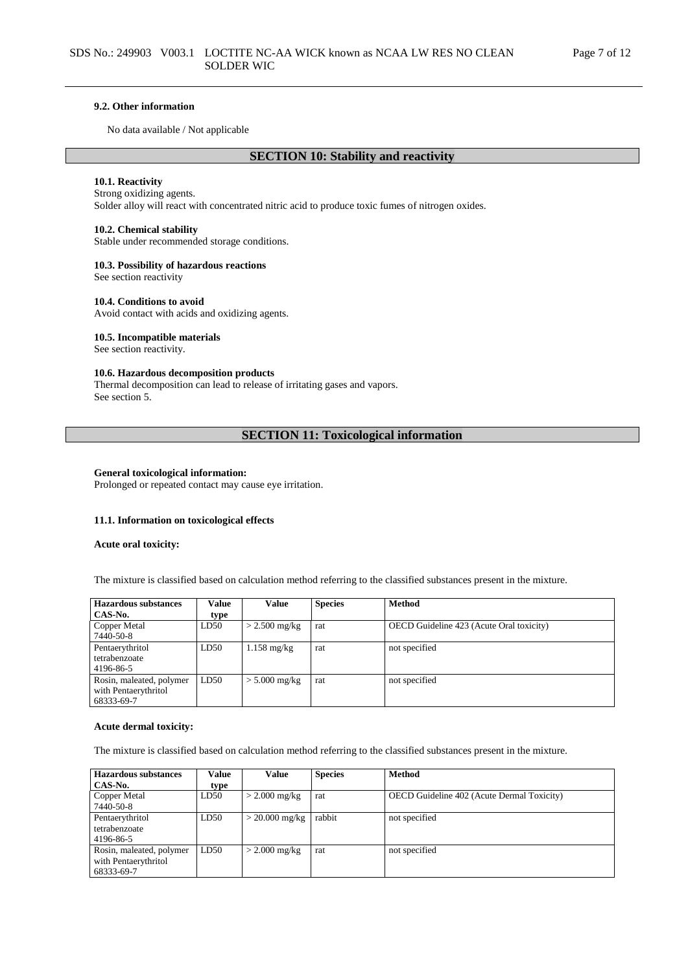#### **9.2. Other information**

No data available / Not applicable

### **SECTION 10: Stability and reactivity**

### **10.1. Reactivity**

#### Strong oxidizing agents.

Solder alloy will react with concentrated nitric acid to produce toxic fumes of nitrogen oxides.

#### **10.2. Chemical stability**

Stable under recommended storage conditions.

#### **10.3. Possibility of hazardous reactions**

See section reactivity

#### **10.4. Conditions to avoid**

Avoid contact with acids and oxidizing agents.

#### **10.5. Incompatible materials**

See section reactivity.

### **10.6. Hazardous decomposition products**

Thermal decomposition can lead to release of irritating gases and vapors. See section 5.

### **SECTION 11: Toxicological information**

#### **General toxicological information:**

Prolonged or repeated contact may cause eye irritation.

#### **11.1. Information on toxicological effects**

#### **Acute oral toxicity:**

The mixture is classified based on calculation method referring to the classified substances present in the mixture.

| <b>Hazardous</b> substances | Value | Value                 | <b>Species</b> | <b>Method</b>                            |
|-----------------------------|-------|-----------------------|----------------|------------------------------------------|
| CAS-No.                     | type  |                       |                |                                          |
| Copper Metal                | LD50  | $>$ 2.500 mg/kg       | rat            | OECD Guideline 423 (Acute Oral toxicity) |
| 7440-50-8                   |       |                       |                |                                          |
| Pentaerythritol             | LD50  | $1.158 \text{ mg/kg}$ | rat            | not specified                            |
| tetrabenzoate               |       |                       |                |                                          |
| 4196-86-5                   |       |                       |                |                                          |
| Rosin, maleated, polymer    | LD50  | $> 5.000$ mg/kg       | rat            | not specified                            |
| with Pentaerythritol        |       |                       |                |                                          |
| 68333-69-7                  |       |                       |                |                                          |

#### **Acute dermal toxicity:**

The mixture is classified based on calculation method referring to the classified substances present in the mixture.

| Hazardous substances     | Value | Value            | <b>Species</b> | <b>Method</b>                                     |
|--------------------------|-------|------------------|----------------|---------------------------------------------------|
| CAS-No.                  | type  |                  |                |                                                   |
| Copper Metal             | LD50  | $>$ 2.000 mg/kg  | rat            | <b>OECD</b> Guideline 402 (Acute Dermal Toxicity) |
| 7440-50-8                |       |                  |                |                                                   |
| Pentaerythritol          | LD50  | $> 20.000$ mg/kg | rabbit         | not specified                                     |
| tetrabenzoate            |       |                  |                |                                                   |
| 4196-86-5                |       |                  |                |                                                   |
| Rosin, maleated, polymer | LD50  | $>$ 2.000 mg/kg  | rat            | not specified                                     |
| with Pentaerythritol     |       |                  |                |                                                   |
| 68333-69-7               |       |                  |                |                                                   |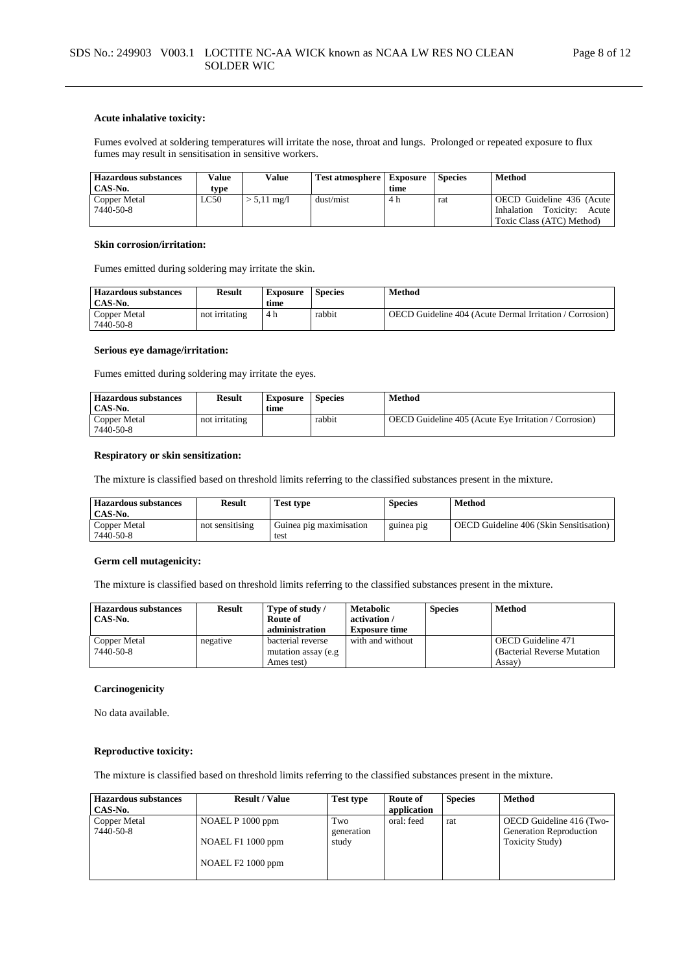#### **Acute inhalative toxicity:**

Fumes evolved at soldering temperatures will irritate the nose, throat and lungs. Prolonged or repeated exposure to flux fumes may result in sensitisation in sensitive workers.

| <b>Hazardous substances</b> | Value | Value               | <b>Test atmosphere   Exposure</b> |      | <b>Species</b> | Method                                                        |
|-----------------------------|-------|---------------------|-----------------------------------|------|----------------|---------------------------------------------------------------|
| CAS-No.                     | tvpe  |                     |                                   | time |                |                                                               |
| Copper Metal<br>7440-50-8   | LC50  | $5,11 \text{ mg}/1$ | dust/mist                         | 4 h  | rat            | OECD Guideline 436 (Acute<br>Inhalation<br>Toxicity:<br>Acute |
|                             |       |                     |                                   |      |                | Toxic Class (ATC) Method)                                     |

#### **Skin corrosion/irritation:**

Fumes emitted during soldering may irritate the skin.

| <b>Hazardous substances</b><br>CAS No. | <b>Result</b>  | <b>Exposure</b><br>time | <b>Species</b> | Method                                                          |
|----------------------------------------|----------------|-------------------------|----------------|-----------------------------------------------------------------|
| Copper Metal<br>7440-50-8              | not irritating | 4 h                     | rabbit         | <b>OECD</b> Guideline 404 (Acute Dermal Irritation / Corrosion) |

#### **Serious eye damage/irritation:**

Fumes emitted during soldering may irritate the eyes.

| <b>Hazardous substances</b><br>CAS-No. | Result         | Exposure<br>time | <b>Species</b> | Method                                                       |
|----------------------------------------|----------------|------------------|----------------|--------------------------------------------------------------|
| Copper Metal<br>7440-50-8              | not irritating |                  | rabbit         | <b>OECD</b> Guideline 405 (Acute Eye Irritation / Corrosion) |

#### **Respiratory or skin sensitization:**

The mixture is classified based on threshold limits referring to the classified substances present in the mixture.

| <b>Hazardous substances</b><br>CAS-No. | <b>Result</b>   | <b>Test type</b>                | <b>Species</b> | Method                                  |
|----------------------------------------|-----------------|---------------------------------|----------------|-----------------------------------------|
| Copper Metal<br>7440-50-8              | not sensitising | Guinea pig maximisation<br>test | guinea pig     | OECD Guideline 406 (Skin Sensitisation) |

### **Germ cell mutagenicity:**

The mixture is classified based on threshold limits referring to the classified substances present in the mixture.

| <b>Hazardous substances</b><br>CAS-No. | <b>Result</b> | Type of study /<br>Route of<br>administration          | Metabolic<br>activation/<br><b>Exposure time</b> | <b>Species</b> | <b>Method</b>                                                       |
|----------------------------------------|---------------|--------------------------------------------------------|--------------------------------------------------|----------------|---------------------------------------------------------------------|
| Copper Metal<br>7440-50-8              | negative      | bacterial reverse<br>mutation assay (e.g<br>Ames test) | with and without                                 |                | <b>OECD</b> Guideline 471<br>(Bacterial Reverse Mutation)<br>Assay) |

### **Carcinogenicity**

No data available.

#### **Reproductive toxicity:**

The mixture is classified based on threshold limits referring to the classified substances present in the mixture.

| <b>Hazardous substances</b><br>CAS-No. | <b>Result / Value</b>                                      | Test type                  | Route of<br>application | <b>Species</b> | Method                                                                         |
|----------------------------------------|------------------------------------------------------------|----------------------------|-------------------------|----------------|--------------------------------------------------------------------------------|
| Copper Metal<br>7440-50-8              | NOAEL P 1000 ppm<br>NOAEL F1 1000 ppm<br>NOAEL F2 1000 ppm | Two<br>generation<br>study | oral: feed              | rat            | OECD Guideline 416 (Two-<br>Generation Reproduction<br><b>Toxicity Study</b> ) |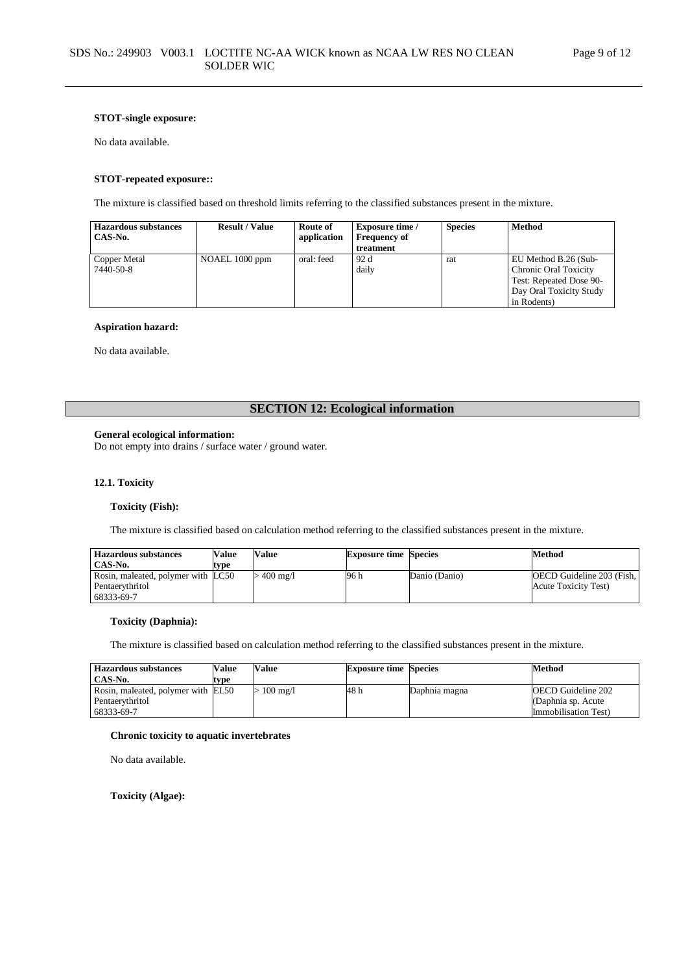#### **STOT-single exposure:**

No data available.

#### **STOT-repeated exposure::**

The mixture is classified based on threshold limits referring to the classified substances present in the mixture.

| <b>Hazardous substances</b><br>CAS-No. | <b>Result / Value</b> | Route of<br>application | <b>Exposure time</b> /<br><b>Frequency of</b><br>treatment | <b>Species</b> | <b>Method</b>                                                                                                             |
|----------------------------------------|-----------------------|-------------------------|------------------------------------------------------------|----------------|---------------------------------------------------------------------------------------------------------------------------|
| Copper Metal<br>7440-50-8              | NOAEL 1000 ppm        | oral: feed              | 92 d<br>daily                                              | rat            | EU Method B.26 (Sub-<br><b>Chronic Oral Toxicity</b><br>Test: Repeated Dose 90-<br>Day Oral Toxicity Study<br>in Rodents) |

#### **Aspiration hazard:**

No data available.

### **SECTION 12: Ecological information**

### **General ecological information:**

Do not empty into drains / surface water / ground water.

#### **12.1. Toxicity**

#### **Toxicity (Fish):**

The mixture is classified based on calculation method referring to the classified substances present in the mixture.

| <b>Hazardous substances</b>        | <b>Value</b> | <b>Value</b> | <b>Exposure time Species</b> |               | Method                           |
|------------------------------------|--------------|--------------|------------------------------|---------------|----------------------------------|
| CAS-No.                            | type         |              |                              |               |                                  |
| Rosin, maleated, polymer with LC50 |              | $.400$ mg/l  | 96 h                         | Danio (Danio) | <b>OECD</b> Guideline 203 (Fish, |
| Pentaerythritol                    |              |              |                              |               | Acute Toxicity Test)             |
| 68333-69-7                         |              |              |                              |               |                                  |

#### **Toxicity (Daphnia):**

The mixture is classified based on calculation method referring to the classified substances present in the mixture.

| <b>Hazardous substances</b><br>CAS-No. | Value<br>type | Value              | <b>Exposure time Species</b> |               | Method                                      |
|----------------------------------------|---------------|--------------------|------------------------------|---------------|---------------------------------------------|
| Rosin, maleated, polymer with EL50     |               | $100 \text{ mg}/1$ | 48 h                         | Daphnia magna | <b>OECD</b> Guideline 202                   |
| Pentaerythritol<br>68333-69-7          |               |                    |                              |               | (Daphnia sp. Acute)<br>Immobilisation Test) |

#### **Chronic toxicity to aquatic invertebrates**

No data available.

**Toxicity (Algae):**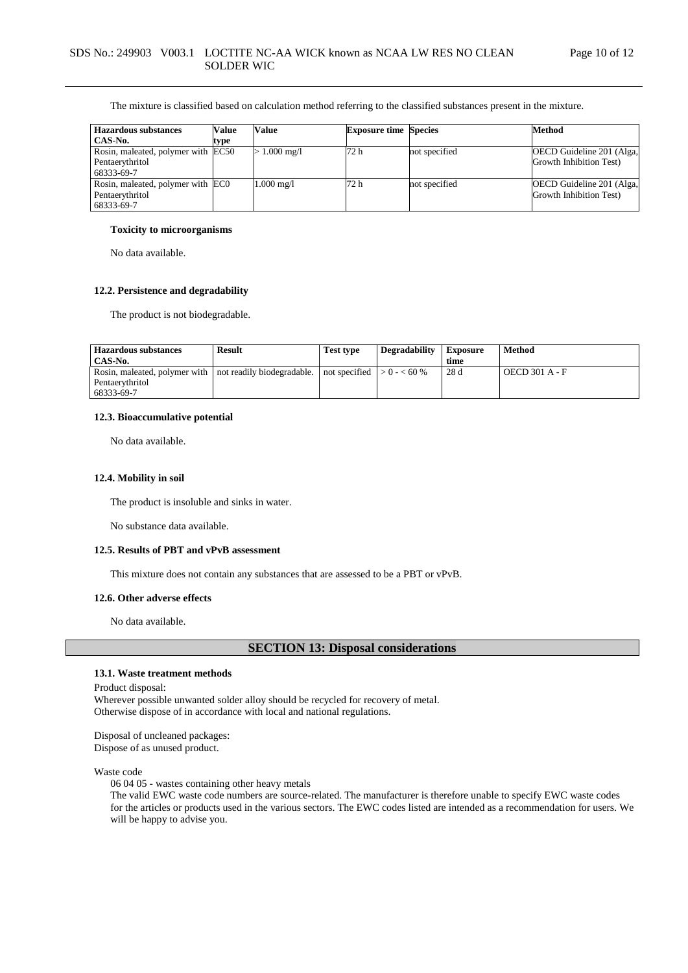The mixture is classified based on calculation method referring to the classified substances present in the mixture.

| <b>Hazardous substances</b>        | Value | Value                | <b>Exposure time Species</b> |               | <b>Method</b>             |
|------------------------------------|-------|----------------------|------------------------------|---------------|---------------------------|
| CAS-No.                            | type  |                      |                              |               |                           |
| Rosin, maleated, polymer with EC50 |       | $1.000 \text{ mg/l}$ | 72 h                         | not specified | OECD Guideline 201 (Alga, |
| Pentaerythritol                    |       |                      |                              |               | Growth Inhibition Test)   |
| 68333-69-7                         |       |                      |                              |               |                           |
| Rosin, maleated, polymer with ECO  |       | 1.000 mg/l           | 72 h                         | not specified | OECD Guideline 201 (Alga, |
| Pentaerythritol                    |       |                      |                              |               | Growth Inhibition Test)   |
| 68333-69-7                         |       |                      |                              |               |                           |

#### **Toxicity to microorganisms**

No data available.

#### **12.2. Persistence and degradability**

The product is not biodegradable.

| <b>Hazardous substances</b><br>CAS-No.                                                                                                       | Result | <b>Test type</b> | Degradability | <b>Exposure</b><br>time | <b>Method</b>         |
|----------------------------------------------------------------------------------------------------------------------------------------------|--------|------------------|---------------|-------------------------|-----------------------|
| Rosin, maleated, polymer with $\vert$ not readily biodegradable. $\vert$ not specified $\vert > 0$ - < 60 %<br>Pentaerythritol<br>68333-69-7 |        |                  |               | 28 d                    | <b>OECD 301 A - F</b> |

#### **12.3. Bioaccumulative potential**

No data available.

#### **12.4. Mobility in soil**

The product is insoluble and sinks in water.

No substance data available.

### **12.5. Results of PBT and vPvB assessment**

This mixture does not contain any substances that are assessed to be a PBT or vPvB.

#### **12.6. Other adverse effects**

No data available.

### **SECTION 13: Disposal considerations**

#### **13.1. Waste treatment methods**

Product disposal:

Wherever possible unwanted solder alloy should be recycled for recovery of metal. Otherwise dispose of in accordance with local and national regulations.

Disposal of uncleaned packages: Dispose of as unused product.

Waste code

06 04 05 - wastes containing other heavy metals

The valid EWC waste code numbers are source-related. The manufacturer is therefore unable to specify EWC waste codes for the articles or products used in the various sectors. The EWC codes listed are intended as a recommendation for users. We will be happy to advise you.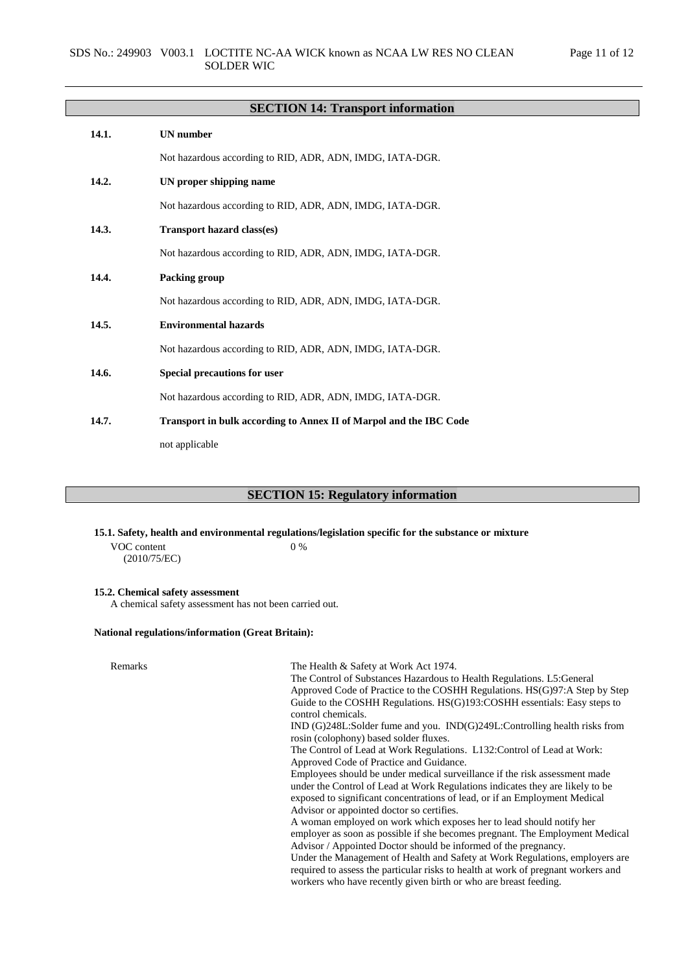# **SECTION 14: Transport information**

| 14.1. | <b>UN</b> number                                                          |
|-------|---------------------------------------------------------------------------|
|       | Not hazardous according to RID, ADR, ADN, IMDG, IATA-DGR.                 |
| 14.2. | UN proper shipping name                                                   |
|       | Not hazardous according to RID, ADR, ADN, IMDG, IATA-DGR.                 |
| 14.3. | <b>Transport hazard class(es)</b>                                         |
|       | Not hazardous according to RID, ADR, ADN, IMDG, IATA-DGR.                 |
| 14.4. | Packing group                                                             |
|       | Not hazardous according to RID, ADR, ADN, IMDG, IATA-DGR.                 |
| 14.5. | <b>Environmental hazards</b>                                              |
|       | Not hazardous according to RID, ADR, ADN, IMDG, IATA-DGR.                 |
| 14.6. | <b>Special precautions for user</b>                                       |
|       | Not hazardous according to RID, ADR, ADN, IMDG, IATA-DGR.                 |
| 14.7. | <b>Transport in bulk according to Annex II of Marpol and the IBC Code</b> |
|       | not applicable                                                            |

# **SECTION 15: Regulatory information**

**15.1. Safety, health and environmental regulations/legislation specific for the substance or mixture**

VOC content (2010/75/EC) 0 %

### **15.2. Chemical safety assessment**

A chemical safety assessment has not been carried out.

# **National regulations/information (Great Britain):**

| Remarks | The Health & Safety at Work Act 1974.                                                                                                                                                                                                 |
|---------|---------------------------------------------------------------------------------------------------------------------------------------------------------------------------------------------------------------------------------------|
|         | The Control of Substances Hazardous to Health Regulations. L5: General                                                                                                                                                                |
|         | Approved Code of Practice to the COSHH Regulations. HS(G)97:A Step by Step                                                                                                                                                            |
|         | Guide to the COSHH Regulations. HS(G)193:COSHH essentials: Easy steps to<br>control chemicals.                                                                                                                                        |
|         | $IND(G)248L:$ Solder fume and you. $IND(G)249L:$ Controlling health risks from<br>rosin (colophony) based solder fluxes.                                                                                                              |
|         | The Control of Lead at Work Regulations. L132: Control of Lead at Work:                                                                                                                                                               |
|         | Approved Code of Practice and Guidance.                                                                                                                                                                                               |
|         | Employees should be under medical surveillance if the risk assessment made                                                                                                                                                            |
|         | under the Control of Lead at Work Regulations indicates they are likely to be                                                                                                                                                         |
|         | exposed to significant concentrations of lead, or if an Employment Medical                                                                                                                                                            |
|         | Advisor or appointed doctor so certifies.                                                                                                                                                                                             |
|         | A woman employed on work which exposes her to lead should notify her                                                                                                                                                                  |
|         | employer as soon as possible if she becomes pregnant. The Employment Medical                                                                                                                                                          |
|         | Advisor / Appointed Doctor should be informed of the pregnancy.                                                                                                                                                                       |
|         | Under the Management of Health and Safety at Work Regulations, employers are<br>required to assess the particular risks to health at work of pregnant workers and<br>workers who have recently given birth or who are breast feeding. |
|         |                                                                                                                                                                                                                                       |